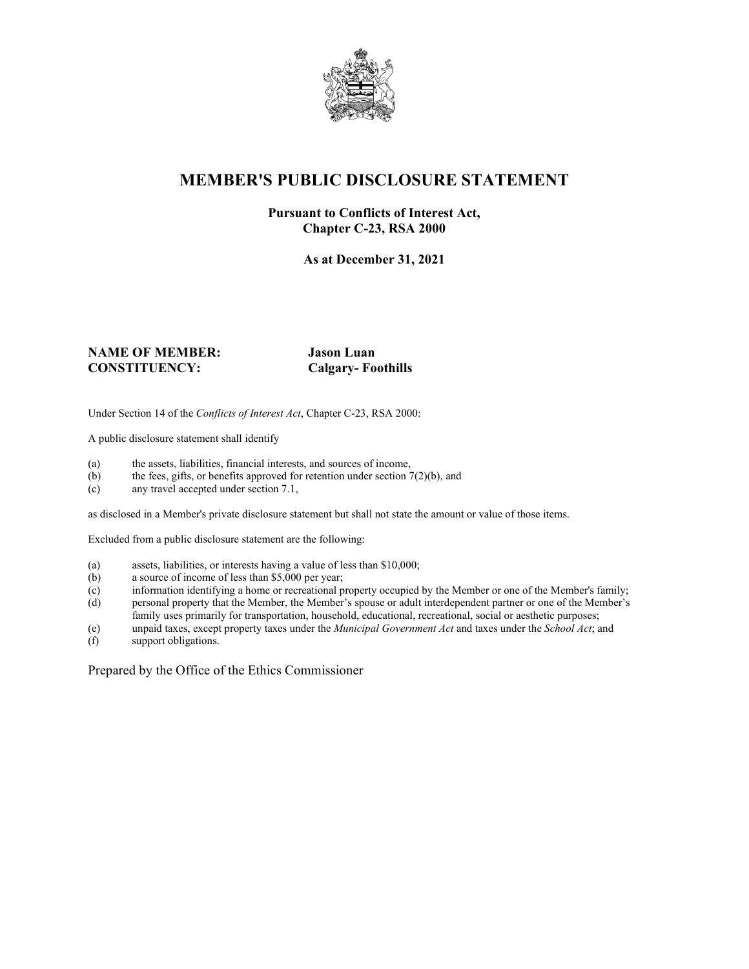

# **MEMBER'S PUBLIC DISCLOSURE STATEMENT**

### **Pursuant to Conflicts of Interest Act, Chapter C-23, RSA 2000**

**As at December 31, 2021**

#### **NAME OF MEMBER: Jason Luan CONSTITUENCY: Calgary- Foothills**

Under Section 14 of the *Conflicts of Interest Act*, Chapter C-23, RSA 2000:

A public disclosure statement shall identify

- (a) the assets, liabilities, financial interests, and sources of income,  $(b)$  the fees, gifts, or benefits approved for retention under section 7
- the fees, gifts, or benefits approved for retention under section  $7(2)(b)$ , and
- (c) any travel accepted under section 7.1,

as disclosed in a Member's private disclosure statement but shall not state the amount or value of those items.

Excluded from a public disclosure statement are the following:

- (a) assets, liabilities, or interests having a value of less than \$10,000;<br>(b) a source of income of less than \$5,000 per year;
- a source of income of less than  $$5,000$  per year;
- (c) information identifying a home or recreational property occupied by the Member or one of the Member's family;
- (d) personal property that the Member, the Member's spouse or adult interdependent partner or one of the Member's family uses primarily for transportation, household, educational, recreational, social or aesthetic purposes;
- (e) unpaid taxes, except property taxes under the *Municipal Government Act* and taxes under the *School Act*; and
- (f) support obligations.

Prepared by the Office of the Ethics Commissioner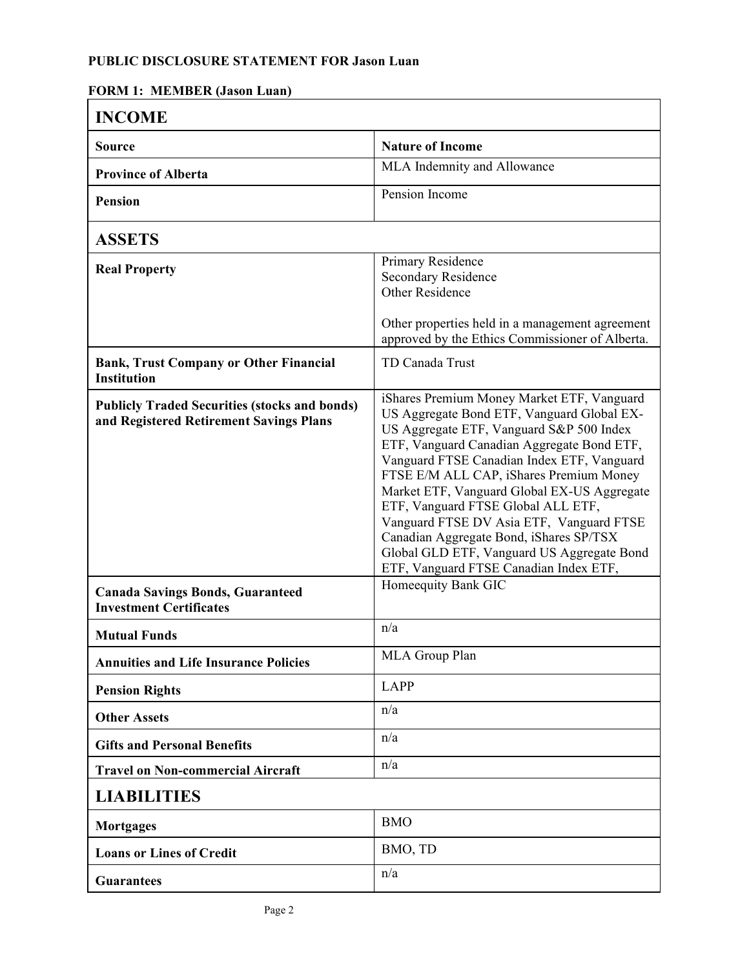## **PUBLIC DISCLOSURE STATEMENT FOR Jason Luan**

| ОКИ 1. ИЕЛЬЕК (базон Ейан<br><b>INCOME</b>                                                      |                                                                                                                                                                                                                                                                                                                                                                                                                                                                                                                                                 |  |
|-------------------------------------------------------------------------------------------------|-------------------------------------------------------------------------------------------------------------------------------------------------------------------------------------------------------------------------------------------------------------------------------------------------------------------------------------------------------------------------------------------------------------------------------------------------------------------------------------------------------------------------------------------------|--|
| <b>Source</b>                                                                                   | <b>Nature of Income</b>                                                                                                                                                                                                                                                                                                                                                                                                                                                                                                                         |  |
| <b>Province of Alberta</b>                                                                      | MLA Indemnity and Allowance                                                                                                                                                                                                                                                                                                                                                                                                                                                                                                                     |  |
| <b>Pension</b>                                                                                  | Pension Income                                                                                                                                                                                                                                                                                                                                                                                                                                                                                                                                  |  |
| <b>ASSETS</b>                                                                                   |                                                                                                                                                                                                                                                                                                                                                                                                                                                                                                                                                 |  |
| <b>Real Property</b>                                                                            | Primary Residence<br>Secondary Residence<br><b>Other Residence</b><br>Other properties held in a management agreement                                                                                                                                                                                                                                                                                                                                                                                                                           |  |
|                                                                                                 | approved by the Ethics Commissioner of Alberta.                                                                                                                                                                                                                                                                                                                                                                                                                                                                                                 |  |
| <b>Bank, Trust Company or Other Financial</b><br><b>Institution</b>                             | TD Canada Trust                                                                                                                                                                                                                                                                                                                                                                                                                                                                                                                                 |  |
| <b>Publicly Traded Securities (stocks and bonds)</b><br>and Registered Retirement Savings Plans | iShares Premium Money Market ETF, Vanguard<br>US Aggregate Bond ETF, Vanguard Global EX-<br>US Aggregate ETF, Vanguard S&P 500 Index<br>ETF, Vanguard Canadian Aggregate Bond ETF,<br>Vanguard FTSE Canadian Index ETF, Vanguard<br>FTSE E/M ALL CAP, iShares Premium Money<br>Market ETF, Vanguard Global EX-US Aggregate<br>ETF, Vanguard FTSE Global ALL ETF,<br>Vanguard FTSE DV Asia ETF, Vanguard FTSE<br>Canadian Aggregate Bond, iShares SP/TSX<br>Global GLD ETF, Vanguard US Aggregate Bond<br>ETF, Vanguard FTSE Canadian Index ETF, |  |
| <b>Canada Savings Bonds, Guaranteed</b><br><b>Investment Certificates</b>                       | Homeequity Bank GIC                                                                                                                                                                                                                                                                                                                                                                                                                                                                                                                             |  |
| <b>Mutual Funds</b>                                                                             | n/a                                                                                                                                                                                                                                                                                                                                                                                                                                                                                                                                             |  |
| <b>Annuities and Life Insurance Policies</b>                                                    | MLA Group Plan                                                                                                                                                                                                                                                                                                                                                                                                                                                                                                                                  |  |
| <b>Pension Rights</b>                                                                           | <b>LAPP</b>                                                                                                                                                                                                                                                                                                                                                                                                                                                                                                                                     |  |
| <b>Other Assets</b>                                                                             | n/a                                                                                                                                                                                                                                                                                                                                                                                                                                                                                                                                             |  |
| <b>Gifts and Personal Benefits</b>                                                              | n/a                                                                                                                                                                                                                                                                                                                                                                                                                                                                                                                                             |  |
| <b>Travel on Non-commercial Aircraft</b>                                                        | n/a                                                                                                                                                                                                                                                                                                                                                                                                                                                                                                                                             |  |
| <b>LIABILITIES</b>                                                                              |                                                                                                                                                                                                                                                                                                                                                                                                                                                                                                                                                 |  |
| <b>Mortgages</b>                                                                                | <b>BMO</b>                                                                                                                                                                                                                                                                                                                                                                                                                                                                                                                                      |  |
| <b>Loans or Lines of Credit</b>                                                                 | BMO, TD                                                                                                                                                                                                                                                                                                                                                                                                                                                                                                                                         |  |
| <b>Guarantees</b>                                                                               | n/a                                                                                                                                                                                                                                                                                                                                                                                                                                                                                                                                             |  |

## **FORM 1: MEMBER (Jason Luan)**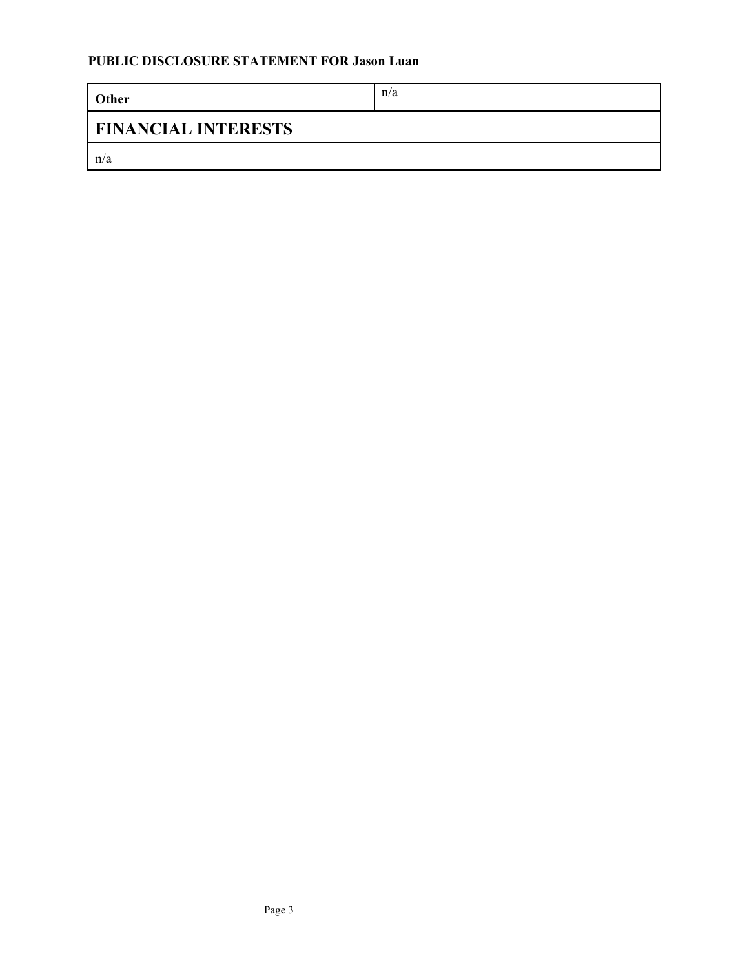| Other                      | n/a |  |
|----------------------------|-----|--|
| <b>FINANCIAL INTERESTS</b> |     |  |
| n/a                        |     |  |